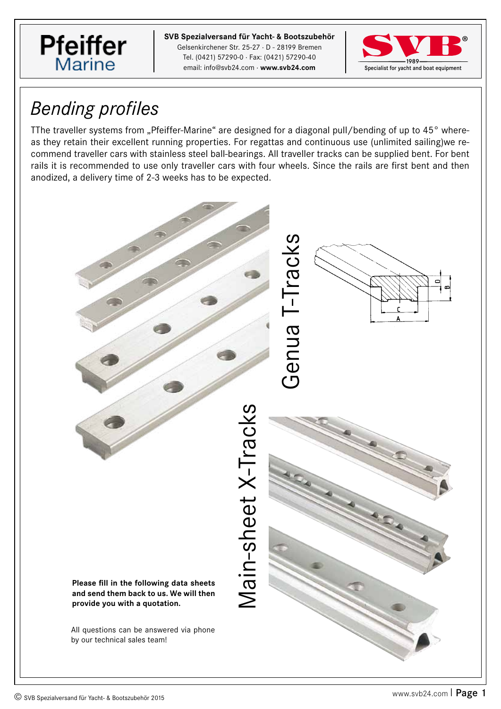

**SVB GmbH SVB Spezialversand für Yacht- & Bootszubehör** Gelsenkirchener Str. 25-27 · D - 28199 Bremen Gelsenkirchener Str. 25-27 · D - 28199 Bremen Tel. (0421) 57290-0 · Fax: (0421) 57290-40 Tel. (0421) 57290-0 · Fax: (0421) 57290-40 email: info@svb24.com · www.svb24.com



## *Bending profiles*

TThe traveller systems from "Pfeiffer-Marine" are designed for a diagonal pull/bending of up to 45° whereas they retain their excellent running properties. For regattas and continuous use (unlimited sailing)we recommend traveller cars with stainless steel ball-bearings. All traveller tracks can be supplied bent. For bent rails it is recommended to use only traveller cars with four wheels. Since the rails are first bent and then anodized, a delivery time of 2-3 weeks has to be expected.

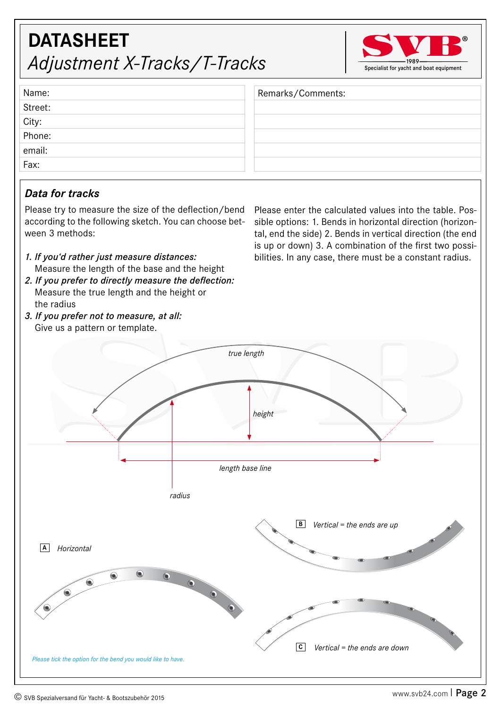# $\delta$  / **C** *Please tick the option for the bend you would like to have.*

### **DATASHEET** *Adjustment X-Tracks/T-Tracks*

Please enter the calculated values into the table. Possible options: 1. Bends in horizontal direction (horizontal, end the side) 2. Bends in vertical direction (the end is up or down) 3. A combination of the first two possibilities. In any case, there must be a constant radius.

Remarks/Comments:

### *Data for tracks*

Name: Street: City: Phone: email: Fax:

Please try to measure the size of the deflection/bend according to the following sketch. You can choose between 3 methods:

- *1. If you'd rather just measure distances:* Measure the length of the base and the height
- *2. If you prefer to directly measure the deflection:* Measure the true length and the height or the radius
- *3. If you prefer not to measure, at all:* Give us a pattern or template.